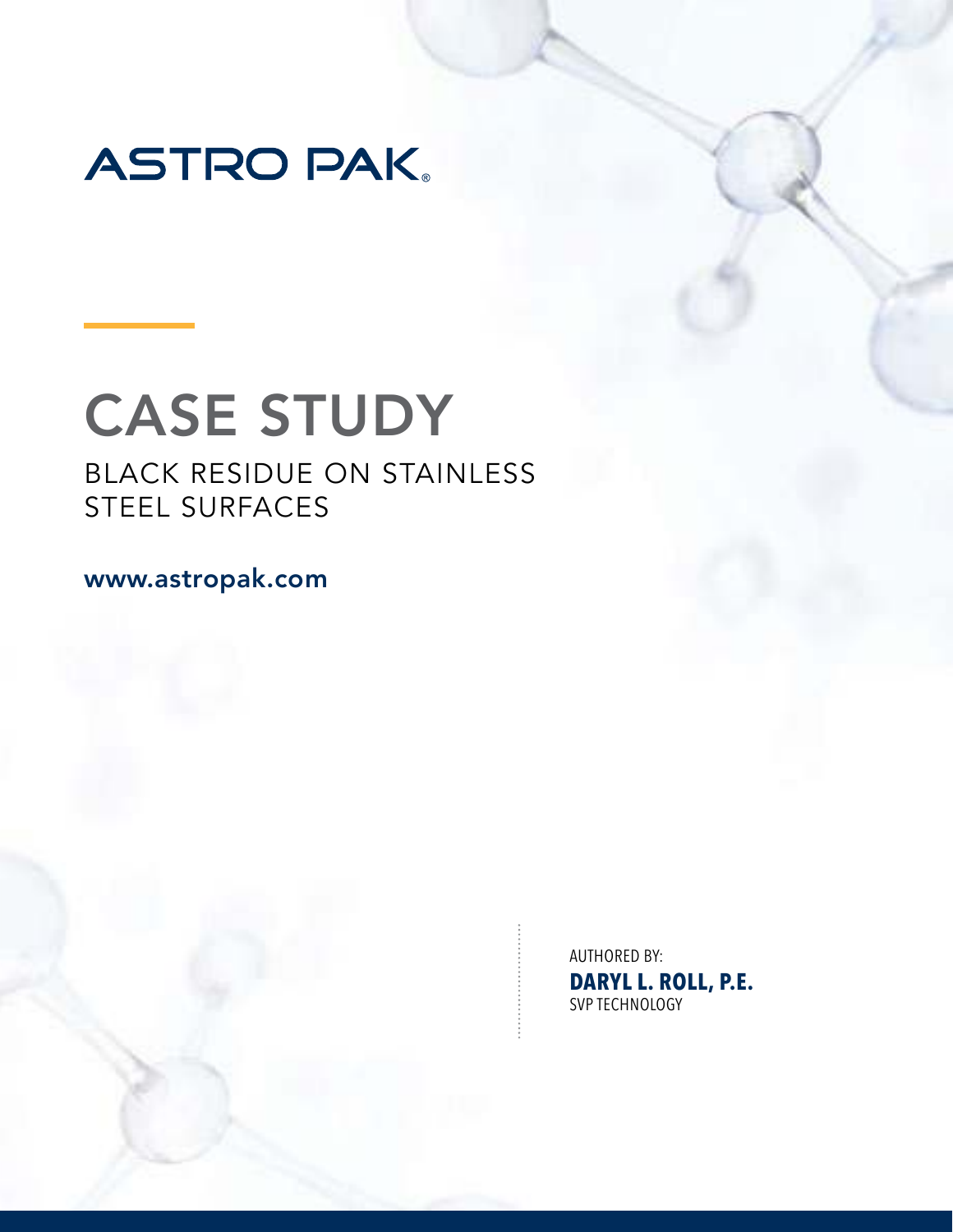

# CASE STUDY

# BLACK RESIDUE ON STAINLESS STEEL SURFACES

www.astropak.com

AUTHORED BY: **DARYL L. ROLL, P.E.** SVP TECHNOLOGY